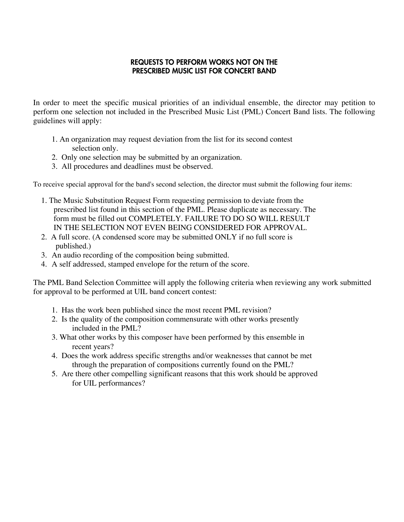## REQUESTS TO PERFORM WORKS NOT ON THE PRESCRIBED MUSIC LIST FOR CONCERT BAND

In order to meet the specific musical priorities of an individual ensemble, the director may petition to perform one selection not included in the Prescribed Music List (PML) Concert Band lists. The following guidelines will apply:

- 1. An organization may request deviation from the list for its second contest selection only.
- 2. Only one selection may be submitted by an organization.
- 3. All procedures and deadlines must be observed.

To receive special approval for the band's second selection, the director must submit the following four items:

- 1. The Music Substitution Request Form requesting permission to deviate from the prescribed list found in this section of the PML. Please duplicate as necessary. The form must be filled out COMPLETELY. FAILURE TO DO SO WILL RESULT IN THE SELECTION NOT EVEN BEING CONSIDERED FOR APPROVAL.
- 2. A full score. (A condensed score may be submitted ONLY if no full score is published.)
- 3. An audio recording of the composition being submitted.
- 4. A self addressed, stamped envelope for the return of the score.

The PML Band Selection Committee will apply the following criteria when reviewing any work submitted for approval to be performed at UIL band concert contest:

- 1. Has the work been published since the most recent PML revision?
- 2. Is the quality of the composition commensurate with other works presently included in the PML?
- 3. What other works by this composer have been performed by this ensemble in recent years?
- 4. Does the work address specific strengths and/or weaknesses that cannot be met through the preparation of compositions currently found on the PML?
- 5. Are there other compelling significant reasons that this work should be approved for UIL performances?